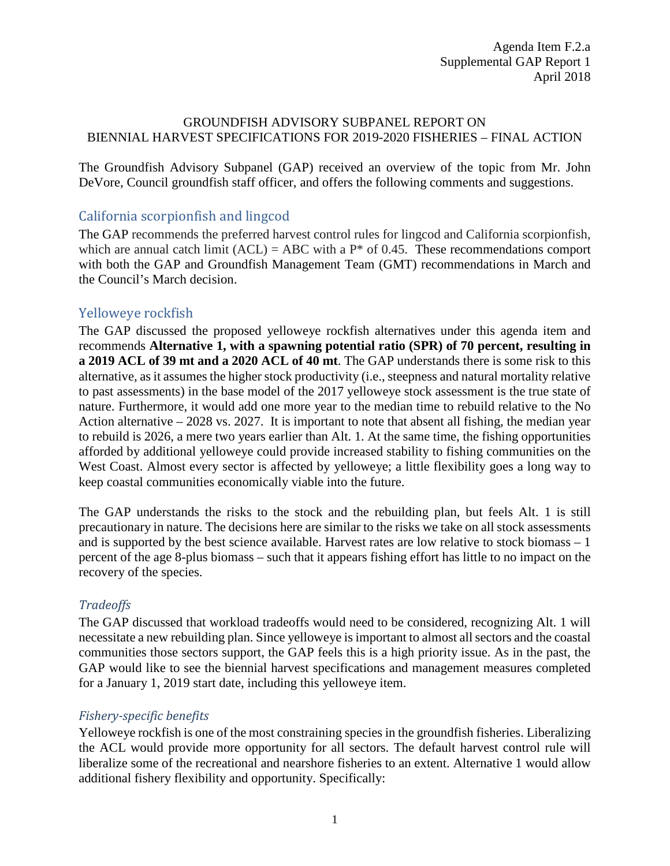#### GROUNDFISH ADVISORY SUBPANEL REPORT ON BIENNIAL HARVEST SPECIFICATIONS FOR 2019-2020 FISHERIES – FINAL ACTION

The Groundfish Advisory Subpanel (GAP) received an overview of the topic from Mr. John DeVore, Council groundfish staff officer, and offers the following comments and suggestions.

## California scorpionfish and lingcod

The GAP recommends the preferred harvest control rules for lingcod and California scorpionfish, which are annual catch limit  $(ACL) = ABC$  with a  $P^*$  of 0.45. These recommendations comport with both the GAP and Groundfish Management Team (GMT) recommendations in March and the Council's March decision.

# Yelloweye rockfish

The GAP discussed the proposed yelloweye rockfish alternatives under this agenda item and recommends **Alternative 1, with a spawning potential ratio (SPR) of 70 percent, resulting in a 2019 ACL of 39 mt and a 2020 ACL of 40 mt**. The GAP understands there is some risk to this alternative, as it assumes the higher stock productivity (i.e., steepness and natural mortality relative to past assessments) in the base model of the 2017 yelloweye stock assessment is the true state of nature. Furthermore, it would add one more year to the median time to rebuild relative to the No Action alternative – 2028 vs. 2027. It is important to note that absent all fishing, the median year to rebuild is 2026, a mere two years earlier than Alt. 1. At the same time, the fishing opportunities afforded by additional yelloweye could provide increased stability to fishing communities on the West Coast. Almost every sector is affected by yelloweye; a little flexibility goes a long way to keep coastal communities economically viable into the future.

The GAP understands the risks to the stock and the rebuilding plan, but feels Alt. 1 is still precautionary in nature. The decisions here are similar to the risks we take on all stock assessments and is supported by the best science available. Harvest rates are low relative to stock biomass – 1 percent of the age 8-plus biomass – such that it appears fishing effort has little to no impact on the recovery of the species.

### *Tradeoffs*

The GAP discussed that workload tradeoffs would need to be considered, recognizing Alt. 1 will necessitate a new rebuilding plan. Since yelloweye is important to almost all sectors and the coastal communities those sectors support, the GAP feels this is a high priority issue. As in the past, the GAP would like to see the biennial harvest specifications and management measures completed for a January 1, 2019 start date, including this yelloweye item.

### *Fishery-specific benefits*

Yelloweye rockfish is one of the most constraining species in the groundfish fisheries. Liberalizing the ACL would provide more opportunity for all sectors. The default harvest control rule will liberalize some of the recreational and nearshore fisheries to an extent. Alternative 1 would allow additional fishery flexibility and opportunity. Specifically: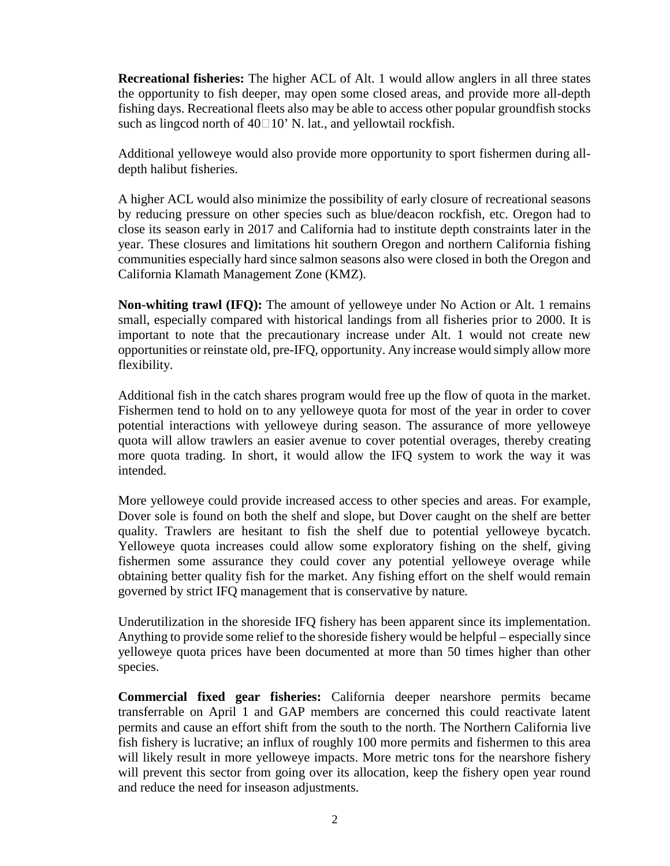**Recreational fisheries:** The higher ACL of Alt. 1 would allow anglers in all three states the opportunity to fish deeper, may open some closed areas, and provide more all-depth fishing days. Recreational fleets also may be able to access other popular groundfish stocks such as lingcod north of  $40\square 10'$  N. lat., and yellowtail rockfish.

Additional yelloweye would also provide more opportunity to sport fishermen during alldepth halibut fisheries.

A higher ACL would also minimize the possibility of early closure of recreational seasons by reducing pressure on other species such as blue/deacon rockfish, etc. Oregon had to close its season early in 2017 and California had to institute depth constraints later in the year. These closures and limitations hit southern Oregon and northern California fishing communities especially hard since salmon seasons also were closed in both the Oregon and California Klamath Management Zone (KMZ).

**Non-whiting trawl (IFQ):** The amount of yelloweye under No Action or Alt. 1 remains small, especially compared with historical landings from all fisheries prior to 2000. It is important to note that the precautionary increase under Alt. 1 would not create new opportunities or reinstate old, pre-IFQ, opportunity. Any increase would simply allow more flexibility.

Additional fish in the catch shares program would free up the flow of quota in the market. Fishermen tend to hold on to any yelloweye quota for most of the year in order to cover potential interactions with yelloweye during season. The assurance of more yelloweye quota will allow trawlers an easier avenue to cover potential overages, thereby creating more quota trading. In short, it would allow the IFQ system to work the way it was intended.

More yelloweye could provide increased access to other species and areas. For example, Dover sole is found on both the shelf and slope, but Dover caught on the shelf are better quality. Trawlers are hesitant to fish the shelf due to potential yelloweye bycatch. Yelloweye quota increases could allow some exploratory fishing on the shelf, giving fishermen some assurance they could cover any potential yelloweye overage while obtaining better quality fish for the market. Any fishing effort on the shelf would remain governed by strict IFQ management that is conservative by nature*.*

Underutilization in the shoreside IFQ fishery has been apparent since its implementation. Anything to provide some relief to the shoreside fishery would be helpful – especially since yelloweye quota prices have been documented at more than 50 times higher than other species.

**Commercial fixed gear fisheries:** California deeper nearshore permits became transferrable on April 1 and GAP members are concerned this could reactivate latent permits and cause an effort shift from the south to the north. The Northern California live fish fishery is lucrative; an influx of roughly 100 more permits and fishermen to this area will likely result in more yelloweye impacts. More metric tons for the nearshore fishery will prevent this sector from going over its allocation, keep the fishery open year round and reduce the need for inseason adjustments.